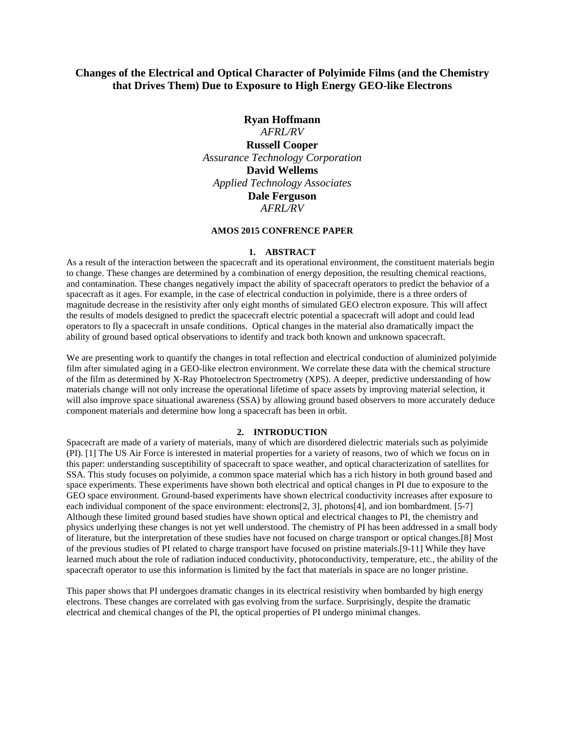# **Changes of the Electrical and Optical Character of Polyimide Films (and the Chemistry that Drives Them) Due to Exposure to High Energy GEO-like Electrons**

## **Ryan Hoffmann**

*AFRL/RV* **Russell Cooper** *Assurance Technology Corporation*  **David Wellems**  *Applied Technology Associates*  **Dale Ferguson** *AFRL/RV*

#### **AMOS 2015 CONFRENCE PAPER**

#### **1. ABSTRACT**

As a result of the interaction between the spacecraft and its operational environment, the constituent materials begin to change. These changes are determined by a combination of energy deposition, the resulting chemical reactions, and contamination. These changes negatively impact the ability of spacecraft operators to predict the behavior of a spacecraft as it ages. For example, in the case of electrical conduction in polyimide, there is a three orders of magnitude decrease in the resistivity after only eight months of simulated GEO electron exposure. This will affect the results of models designed to predict the spacecraft electric potential a spacecraft will adopt and could lead operators to fly a spacecraft in unsafe conditions. Optical changes in the material also dramatically impact the ability of ground based optical observations to identify and track both known and unknown spacecraft.

We are presenting work to quantify the changes in total reflection and electrical conduction of aluminized polyimide film after simulated aging in a GEO-like electron environment. We correlate these data with the chemical structure of the film as determined by X-Ray Photoelectron Spectrometry (XPS). A deeper, predictive understanding of how materials change will not only increase the operational lifetime of space assets by improving material selection, it will also improve space situational awareness (SSA) by allowing ground based observers to more accurately deduce component materials and determine how long a spacecraft has been in orbit.

### **2. INTRODUCTION**

Spacecraft are made of a variety of materials, many of which are disordered dielectric materials such as polyimide (PI). [1] The US Air Force is interested in material properties for a variety of reasons, two of which we focus on in this paper: understanding susceptibility of spacecraft to space weather, and optical characterization of satellites for SSA. This study focuses on polyimide, a common space material which has a rich history in both ground based and space experiments. These experiments have shown both electrical and optical changes in PI due to exposure to the GEO space environment. Ground-based experiments have shown electrical conductivity increases after exposure to each individual component of the space environment: electrons[2, 3], photons[4], and ion bombardment. [5-7] Although these limited ground based studies have shown optical and electrical changes to PI, the chemistry and physics underlying these changes is not yet well understood. The chemistry of PI has been addressed in a small body of literature, but the interpretation of these studies have not focused on charge transport or optical changes.[8] Most of the previous studies of PI related to charge transport have focused on pristine materials.[9-11] While they have learned much about the role of radiation induced conductivity, photoconductivity, temperature, etc., the ability of the spacecraft operator to use this information is limited by the fact that materials in space are no longer pristine.

This paper shows that PI undergoes dramatic changes in its electrical resistivity when bombarded by high energy electrons. These changes are correlated with gas evolving from the surface. Surprisingly, despite the dramatic electrical and chemical changes of the PI, the optical properties of PI undergo minimal changes.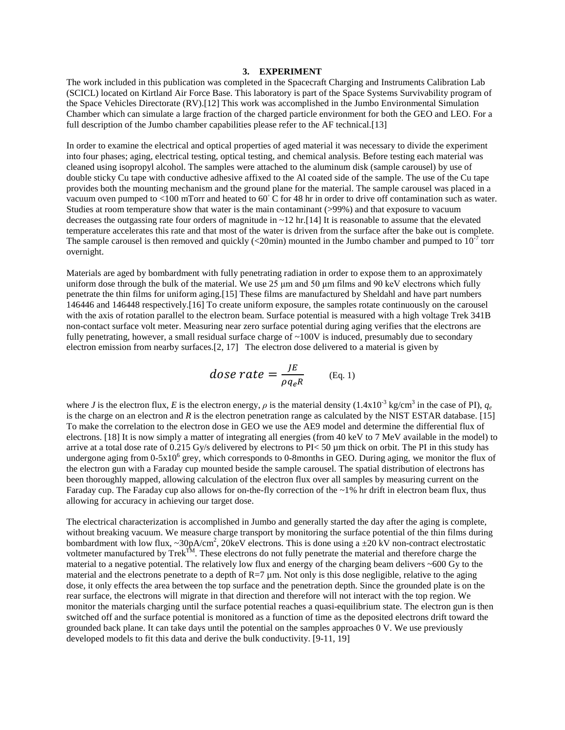#### **3. EXPERIMENT**

The work included in this publication was completed in the Spacecraft Charging and Instruments Calibration Lab (SCICL) located on Kirtland Air Force Base. This laboratory is part of the Space Systems Survivability program of the Space Vehicles Directorate (RV).[12] This work was accomplished in the Jumbo Environmental Simulation Chamber which can simulate a large fraction of the charged particle environment for both the GEO and LEO. For a full description of the Jumbo chamber capabilities please refer to the AF technical.[13]

In order to examine the electrical and optical properties of aged material it was necessary to divide the experiment into four phases; aging, electrical testing, optical testing, and chemical analysis. Before testing each material was cleaned using isopropyl alcohol. The samples were attached to the aluminum disk (sample carousel) by use of double sticky Cu tape with conductive adhesive affixed to the Al coated side of the sample. The use of the Cu tape provides both the mounting mechanism and the ground plane for the material. The sample carousel was placed in a vacuum oven pumped to <100 mTorr and heated to 60◦ C for 48 hr in order to drive off contamination such as water. Studies at room temperature show that water is the main contaminant (>99%) and that exposure to vacuum decreases the outgassing rate four orders of magnitude in  $\sim$  12 hr. [14] It is reasonable to assume that the elevated temperature accelerates this rate and that most of the water is driven from the surface after the bake out is complete. The sample carousel is then removed and quickly (<20min) mounted in the Jumbo chamber and pumped to  $10^{-7}$  torr overnight.

Materials are aged by bombardment with fully penetrating radiation in order to expose them to an approximately uniform dose through the bulk of the material. We use 25 μm and 50 μm films and 90 keV electrons which fully penetrate the thin films for uniform aging.[15] These films are manufactured by Sheldahl and have part numbers 146446 and 146448 respectively.[16] To create uniform exposure, the samples rotate continuously on the carousel with the axis of rotation parallel to the electron beam. Surface potential is measured with a high voltage Trek 341B non-contact surface volt meter. Measuring near zero surface potential during aging verifies that the electrons are fully penetrating, however, a small residual surface charge of  $\sim$ 100V is induced, presumably due to secondary electron emission from nearby surfaces.[2, 17] The electron dose delivered to a material is given by

$$
dose\ rate = \frac{JE}{\rho q_e R} \qquad \text{(Eq. 1)}
$$

where *J* is the electron flux, *E* is the electron energy,  $\rho$  is the material density (1.4x10<sup>-3</sup> kg/cm<sup>3</sup> in the case of PI),  $q_e$ is the charge on an electron and *R* is the electron penetration range as calculated by the NIST ESTAR database. [15] To make the correlation to the electron dose in GEO we use the AE9 model and determine the differential flux of electrons. [18] It is now simply a matter of integrating all energies (from 40 keV to 7 MeV available in the model) to arrive at a total dose rate of 0.215 Gy/s delivered by electrons to  $PI < 50 \mu m$  thick on orbit. The PI in this study has undergone aging from  $0.5x10^6$  grey, which corresponds to 0-8months in GEO. During aging, we monitor the flux of the electron gun with a Faraday cup mounted beside the sample carousel. The spatial distribution of electrons has been thoroughly mapped, allowing calculation of the electron flux over all samples by measuring current on the Faraday cup. The Faraday cup also allows for on-the-fly correction of the ~1% hr drift in electron beam flux, thus allowing for accuracy in achieving our target dose.

The electrical characterization is accomplished in Jumbo and generally started the day after the aging is complete, without breaking vacuum. We measure charge transport by monitoring the surface potential of the thin films during bombardment with low flux, ~30pA/cm<sup>2</sup>, 20keV electrons. This is done using a  $\pm 20$  kV non-contract electrostatic voltmeter manufactured by  $Trek^{TM}$ . These electrons do not fully penetrate the material and therefore charge the material to a negative potential. The relatively low flux and energy of the charging beam delivers  $\sim 600 \text{ Gy}$  to the material and the electrons penetrate to a depth of  $R=7 \mu m$ . Not only is this dose negligible, relative to the aging dose, it only effects the area between the top surface and the penetration depth. Since the grounded plate is on the rear surface, the electrons will migrate in that direction and therefore will not interact with the top region. We monitor the materials charging until the surface potential reaches a quasi-equilibrium state. The electron gun is then switched off and the surface potential is monitored as a function of time as the deposited electrons drift toward the grounded back plane. It can take days until the potential on the samples approaches 0 V. We use previously developed models to fit this data and derive the bulk conductivity. [9-11, 19]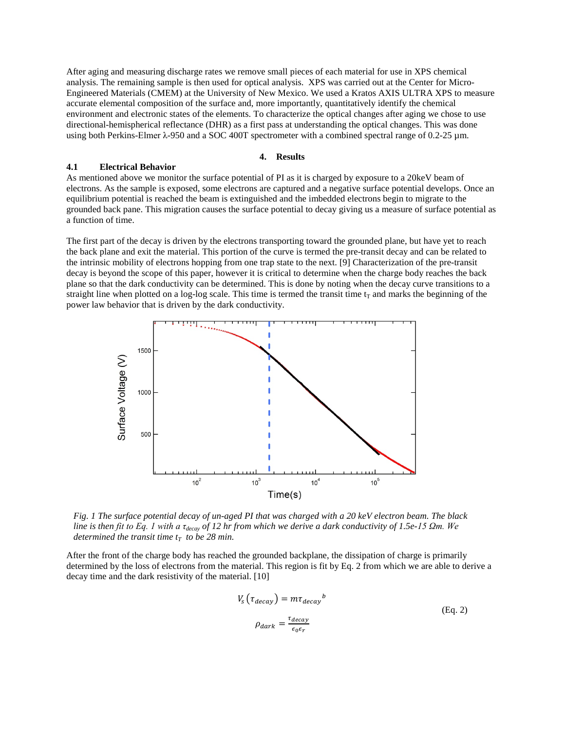After aging and measuring discharge rates we remove small pieces of each material for use in XPS chemical analysis. The remaining sample is then used for optical analysis. XPS was carried out at the Center for Micro-Engineered Materials (CMEM) at the University of New Mexico. We used a Kratos AXIS ULTRA XPS to measure accurate elemental composition of the surface and, more importantly, quantitatively identify the chemical environment and electronic states of the elements. To characterize the optical changes after aging we chose to use directional-hemispherical reflectance (DHR) as a first pass at understanding the optical changes. This was done using both Perkins-Elmer λ-950 and a SOC 400T spectrometer with a combined spectral range of 0.2-25 µm.

#### **4. Results**

## **4.1 Electrical Behavior**

As mentioned above we monitor the surface potential of PI as it is charged by exposure to a 20keV beam of electrons. As the sample is exposed, some electrons are captured and a negative surface potential develops. Once an equilibrium potential is reached the beam is extinguished and the imbedded electrons begin to migrate to the grounded back pane. This migration causes the surface potential to decay giving us a measure of surface potential as a function of time.

The first part of the decay is driven by the electrons transporting toward the grounded plane, but have yet to reach the back plane and exit the material. This portion of the curve is termed the pre-transit decay and can be related to the intrinsic mobility of electrons hopping from one trap state to the next. [9] Characterization of the pre-transit decay is beyond the scope of this paper, however it is critical to determine when the charge body reaches the back plane so that the dark conductivity can be determined. This is done by noting when the decay curve transitions to a straight line when plotted on a log-log scale. This time is termed the transit time  $t_T$  and marks the beginning of the power law behavior that is driven by the dark conductivity.



*Fig. 1 The surface potential decay of un-aged PI that was charged with a 20 keV electron beam. The black line is then fit to Eq. 1 with a τdecay of 12 hr from which we derive a dark conductivity of 1.5e-15 Ωm. We determined the transit time*  $t_T$  *to be 28 min.* 

After the front of the charge body has reached the grounded backplane, the dissipation of charge is primarily determined by the loss of electrons from the material. This region is fit by Eq. 2 from which we are able to derive a decay time and the dark resistivity of the material. [10]

$$
V_s \left( \tau_{decay} \right) = m \tau_{decay}^b
$$
\n
$$
\rho_{dark} = \frac{\tau_{decay}}{\epsilon_0 \epsilon_r}
$$
\n(Eq. 2)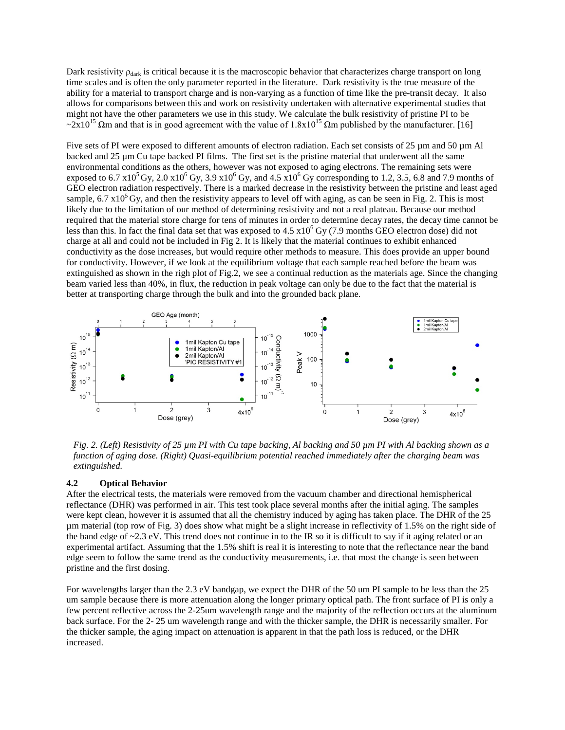Dark resistivity  $\rho_{dark}$  is critical because it is the macroscopic behavior that characterizes charge transport on long time scales and is often the only parameter reported in the literature. Dark resistivity is the true measure of the ability for a material to transport charge and is non-varying as a function of time like the pre-transit decay. It also allows for comparisons between this and work on resistivity undertaken with alternative experimental studies that might not have the other parameters we use in this study. We calculate the bulk resistivity of pristine PI to be  $\sim$ 2x10<sup>15</sup>  $\Omega$ m and that is in good agreement with the value of 1.8x10<sup>15</sup>  $\Omega$ m published by the manufacturer. [16]

Five sets of PI were exposed to different amounts of electron radiation. Each set consists of 25 µm and 50 µm Al backed and 25 µm Cu tape backed PI films. The first set is the pristine material that underwent all the same environmental conditions as the others, however was not exposed to aging electrons. The remaining sets were exposed to 6.7 x10<sup>5</sup> Gy, 2.0 x10<sup>6</sup> Gy, 3.9 x10<sup>6</sup> Gy, and 4.5 x10<sup>6</sup> Gy corresponding to 1.2, 3.5, 6.8 and 7.9 months of GEO electron radiation respectively. There is a marked decrease in the resistivity between the pristine and least aged sample,  $6.7 \times 10^5$  Gy, and then the resistivity appears to level off with aging, as can be seen in Fig. 2. This is most likely due to the limitation of our method of determining resistivity and not a real plateau. Because our method required that the material store charge for tens of minutes in order to determine decay rates, the decay time cannot be less than this. In fact the final data set that was exposed to  $4.5 \times 10^6$  Gy (7.9 months GEO electron dose) did not charge at all and could not be included in Fig 2. It is likely that the material continues to exhibit enhanced conductivity as the dose increases, but would require other methods to measure. This does provide an upper bound for conductivity. However, if we look at the equilibrium voltage that each sample reached before the beam was extinguished as shown in the righ plot of Fig.2, we see a continual reduction as the materials age. Since the changing beam varied less than 40%, in flux, the reduction in peak voltage can only be due to the fact that the material is better at transporting charge through the bulk and into the grounded back plane.



*Fig. 2. (Left) Resistivity of 25 µm PI with Cu tape backing, Al backing and 50 µm PI with Al backing shown as a function of aging dose. (Right) Quasi-equilibrium potential reached immediately after the charging beam was extinguished.* 

# **4.2 Optical Behavior**

After the electrical tests, the materials were removed from the vacuum chamber and directional hemispherical reflectance (DHR) was performed in air. This test took place several months after the initial aging. The samples were kept clean, however it is assumed that all the chemistry induced by aging has taken place. The DHR of the 25 µm material (top row of Fig. 3) does show what might be a slight increase in reflectivity of 1.5% on the right side of the band edge of  $\sim$ 2.3 eV. This trend does not continue in to the IR so it is difficult to say if it aging related or an experimental artifact. Assuming that the 1.5% shift is real it is interesting to note that the reflectance near the band edge seem to follow the same trend as the conductivity measurements, i.e. that most the change is seen between pristine and the first dosing.

For wavelengths larger than the 2.3 eV bandgap, we expect the DHR of the 50 um PI sample to be less than the 25 um sample because there is more attenuation along the longer primary optical path. The front surface of PI is only a few percent reflective across the 2-25um wavelength range and the majority of the reflection occurs at the aluminum back surface. For the 2- 25 um wavelength range and with the thicker sample, the DHR is necessarily smaller. For the thicker sample, the aging impact on attenuation is apparent in that the path loss is reduced, or the DHR increased.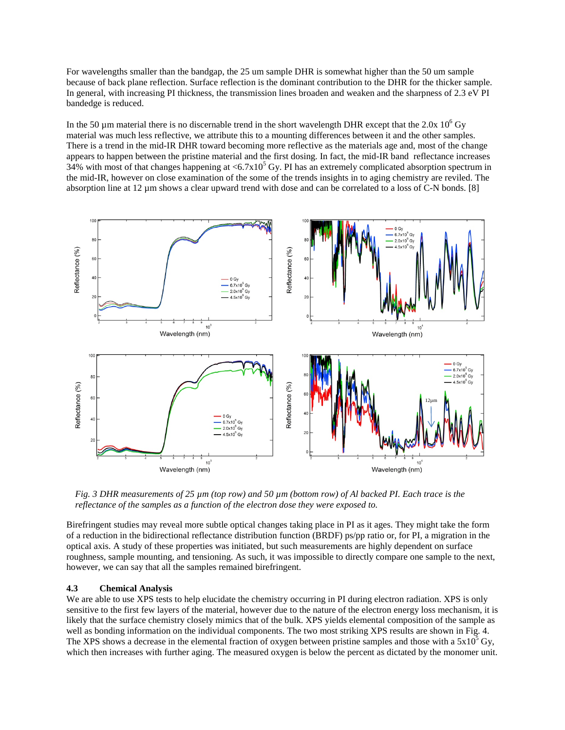For wavelengths smaller than the bandgap, the 25 um sample DHR is somewhat higher than the 50 um sample because of back plane reflection. Surface reflection is the dominant contribution to the DHR for the thicker sample. In general, with increasing PI thickness, the transmission lines broaden and weaken and the sharpness of 2.3 eV PI bandedge is reduced.

In the 50  $\mu$ m material there is no discernable trend in the short wavelength DHR except that the 2.0x 10<sup>6</sup> Gy material was much less reflective, we attribute this to a mounting differences between it and the other samples. There is a trend in the mid-IR DHR toward becoming more reflective as the materials age and, most of the change appears to happen between the pristine material and the first dosing. In fact, the mid-IR band reflectance increases 34% with most of that changes happening at  $\langle 6.7 \times 10^5 \text{ Gy}$ . PI has an extremely complicated absorption spectrum in the mid-IR, however on close examination of the some of the trends insights in to aging chemistry are reviled. The absorption line at 12 µm shows a clear upward trend with dose and can be correlated to a loss of C-N bonds. [8]



*Fig. 3 DHR measurements of 25 µm (top row) and 50 µm (bottom row) of Al backed PI. Each trace is the reflectance of the samples as a function of the electron dose they were exposed to.* 

Birefringent studies may reveal more subtle optical changes taking place in PI as it ages. They might take the form of a reduction in the bidirectional reflectance distribution function (BRDF) ps/pp ratio or, for PI, a migration in the optical axis. A study of these properties was initiated, but such measurements are highly dependent on surface roughness, sample mounting, and tensioning. As such, it was impossible to directly compare one sample to the next, however, we can say that all the samples remained birefringent.

## **4.3 Chemical Analysis**

We are able to use XPS tests to help elucidate the chemistry occurring in PI during electron radiation. XPS is only sensitive to the first few layers of the material, however due to the nature of the electron energy loss mechanism, it is likely that the surface chemistry closely mimics that of the bulk. XPS yields elemental composition of the sample as well as bonding information on the individual components. The two most striking XPS results are shown in Fig. 4. The XPS shows a decrease in the elemental fraction of oxygen between pristine samples and those with a  $5x10^5$  Gy, which then increases with further aging. The measured oxygen is below the percent as dictated by the monomer unit.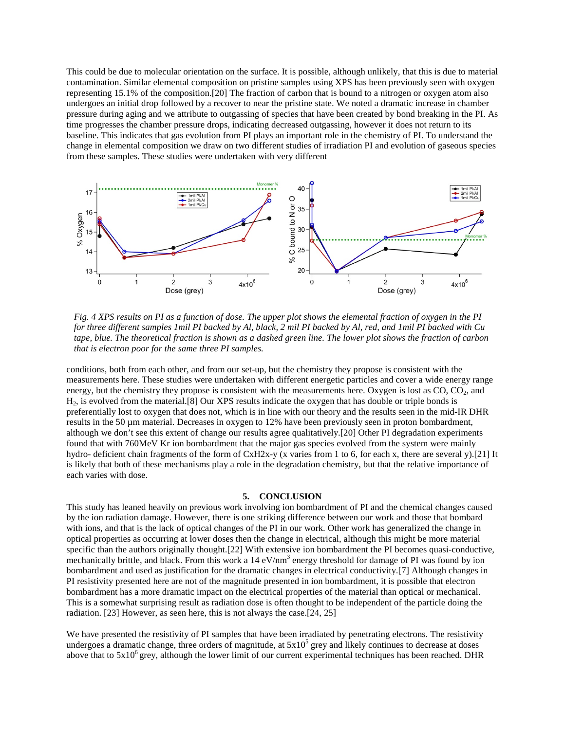This could be due to molecular orientation on the surface. It is possible, although unlikely, that this is due to material contamination. Similar elemental composition on pristine samples using XPS has been previously seen with oxygen representing 15.1% of the composition.[20] The fraction of carbon that is bound to a nitrogen or oxygen atom also undergoes an initial drop followed by a recover to near the pristine state. We noted a dramatic increase in chamber pressure during aging and we attribute to outgassing of species that have been created by bond breaking in the PI. As time progresses the chamber pressure drops, indicating decreased outgassing, however it does not return to its baseline. This indicates that gas evolution from PI plays an important role in the chemistry of PI. To understand the change in elemental composition we draw on two different studies of irradiation PI and evolution of gaseous species from these samples. These studies were undertaken with very different



*Fig. 4 XPS results on PI as a function of dose. The upper plot shows the elemental fraction of oxygen in the PI for three different samples 1mil PI backed by Al, black, 2 mil PI backed by Al, red, and 1mil PI backed with Cu tape, blue. The theoretical fraction is shown as a dashed green line. The lower plot shows the fraction of carbon that is electron poor for the same three PI samples.*

conditions, both from each other, and from our set-up, but the chemistry they propose is consistent with the measurements here. These studies were undertaken with different energetic particles and cover a wide energy range energy, but the chemistry they propose is consistent with the measurements here. Oxygen is lost as CO, CO<sub>2</sub>, and H2, is evolved from the material.[8] Our XPS results indicate the oxygen that has double or triple bonds is preferentially lost to oxygen that does not, which is in line with our theory and the results seen in the mid-IR DHR results in the 50 µm material. Decreases in oxygen to 12% have been previously seen in proton bombardment, although we don't see this extent of change our results agree qualitatively.[20] Other PI degradation experiments found that with 760MeV Kr ion bombardment that the major gas species evolved from the system were mainly hydro- deficient chain fragments of the form of CxH2x-y (x varies from 1 to 6, for each x, there are several y).[21] It is likely that both of these mechanisms play a role in the degradation chemistry, but that the relative importance of each varies with dose.

#### **5. CONCLUSION**

This study has leaned heavily on previous work involving ion bombardment of PI and the chemical changes caused by the ion radiation damage. However, there is one striking difference between our work and those that bombard with ions, and that is the lack of optical changes of the PI in our work. Other work has generalized the change in optical properties as occurring at lower doses then the change in electrical, although this might be more material specific than the authors originally thought.[22] With extensive ion bombardment the PI becomes quasi-conductive, mechanically brittle, and black. From this work a  $14 \text{ eV/nm}^3$  energy threshold for damage of PI was found by ion bombardment and used as justification for the dramatic changes in electrical conductivity.[7] Although changes in PI resistivity presented here are not of the magnitude presented in ion bombardment, it is possible that electron bombardment has a more dramatic impact on the electrical properties of the material than optical or mechanical. This is a somewhat surprising result as radiation dose is often thought to be independent of the particle doing the radiation. [23] However, as seen here, this is not always the case.[24, 25]

We have presented the resistivity of PI samples that have been irradiated by penetrating electrons. The resistivity undergoes a dramatic change, three orders of magnitude, at  $5x10<sup>5</sup>$  grey and likely continues to decrease at doses above that to  $5x10^6$  grey, although the lower limit of our current experimental techniques has been reached. DHR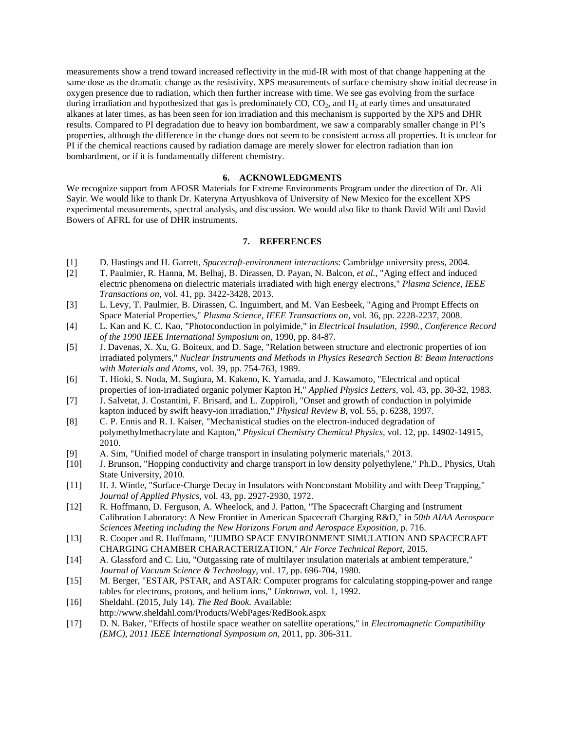measurements show a trend toward increased reflectivity in the mid-IR with most of that change happening at the same dose as the dramatic change as the resistivity. XPS measurements of surface chemistry show initial decrease in oxygen presence due to radiation, which then further increase with time. We see gas evolving from the surface during irradiation and hypothesized that gas is predominately  $CO$ ,  $CO<sub>2</sub>$ , and  $H<sub>2</sub>$  at early times and unsaturated alkanes at later times, as has been seen for ion irradiation and this mechanism is supported by the XPS and DHR results. Compared to PI degradation due to heavy ion bombardment, we saw a comparably smaller change in PI's properties, although the difference in the change does not seem to be consistent across all properties. It is unclear for PI if the chemical reactions caused by radiation damage are merely slower for electron radiation than ion bombardment, or if it is fundamentally different chemistry.

### **6. ACKNOWLEDGMENTS**

We recognize support from AFOSR Materials for Extreme Environments Program under the direction of Dr. Ali Sayir. We would like to thank Dr. Kateryna Artyushkova of University of New Mexico for the excellent XPS experimental measurements, spectral analysis, and discussion. We would also like to thank David Wilt and David Bowers of AFRL for use of DHR instruments.

#### **7. REFERENCES**

- [1] D. Hastings and H. Garrett, *Spacecraft-environment interactions*: Cambridge university press, 2004.
- [2] T. Paulmier, R. Hanna, M. Belhaj, B. Dirassen, D. Payan, N. Balcon*, et al.*, "Aging effect and induced electric phenomena on dielectric materials irradiated with high energy electrons," *Plasma Science, IEEE Transactions on,* vol. 41, pp. 3422-3428, 2013.
- [3] L. Levy, T. Paulmier, B. Dirassen, C. Inguimbert, and M. Van Eesbeek, "Aging and Prompt Effects on Space Material Properties," *Plasma Science, IEEE Transactions on,* vol. 36, pp. 2228-2237, 2008.
- [4] L. Kan and K. C. Kao, "Photoconduction in polyimide," in *Electrical Insulation, 1990., Conference Record of the 1990 IEEE International Symposium on*, 1990, pp. 84-87.
- [5] J. Davenas, X. Xu, G. Boiteux, and D. Sage, "Relation between structure and electronic properties of ion irradiated polymers," *Nuclear Instruments and Methods in Physics Research Section B: Beam Interactions with Materials and Atoms,* vol. 39, pp. 754-763, 1989.
- [6] T. Hioki, S. Noda, M. Sugiura, M. Kakeno, K. Yamada, and J. Kawamoto, "Electrical and optical properties of ion‐irradiated organic polymer Kapton H," *Applied Physics Letters,* vol. 43, pp. 30-32, 1983.
- [7] J. Salvetat, J. Costantini, F. Brisard, and L. Zuppiroli, "Onset and growth of conduction in polyimide kapton induced by swift heavy-ion irradiation," *Physical Review B,* vol. 55, p. 6238, 1997.
- [8] C. P. Ennis and R. I. Kaiser, "Mechanistical studies on the electron-induced degradation of polymethylmethacrylate and Kapton," *Physical Chemistry Chemical Physics,* vol. 12, pp. 14902-14915, 2010.
- [9] A. Sim, "Unified model of charge transport in insulating polymeric materials," 2013.
- [10] J. Brunson, "Hopping conductivity and charge transport in low density polyethylene," Ph.D., Physics, Utah State University, 2010.
- [11] H. J. Wintle, "Surface‐Charge Decay in Insulators with Nonconstant Mobility and with Deep Trapping," *Journal of Applied Physics,* vol. 43, pp. 2927-2930, 1972.
- [12] R. Hoffmann, D. Ferguson, A. Wheelock, and J. Patton, "The Spacecraft Charging and Instrument Calibration Laboratory: A New Frontier in American Spacecraft Charging R&D," in *50th AIAA Aerospace Sciences Meeting including the New Horizons Forum and Aerospace Exposition*, p. 716.
- [13] R. Cooper and R. Hoffmann, "JUMBO SPACE ENVIRONMENT SIMULATION AND SPACECRAFT CHARGING CHAMBER CHARACTERIZATION," *Air Force Technical Report,* 2015.
- [14] A. Glassford and C. Liu, "Outgassing rate of multilayer insulation materials at ambient temperature," *Journal of Vacuum Science & Technology,* vol. 17, pp. 696-704, 1980.
- [15] M. Berger, "ESTAR, PSTAR, and ASTAR: Computer programs for calculating stopping-power and range tables for electrons, protons, and helium ions," *Unknown,* vol. 1, 1992.
- [16] Sheldahl. (2015, July 14). *The Red Book*. Available:
- http://www.sheldahl.com/Products/WebPages/RedBook.aspx
- [17] D. N. Baker, "Effects of hostile space weather on satellite operations," in *Electromagnetic Compatibility (EMC), 2011 IEEE International Symposium on*, 2011, pp. 306-311.